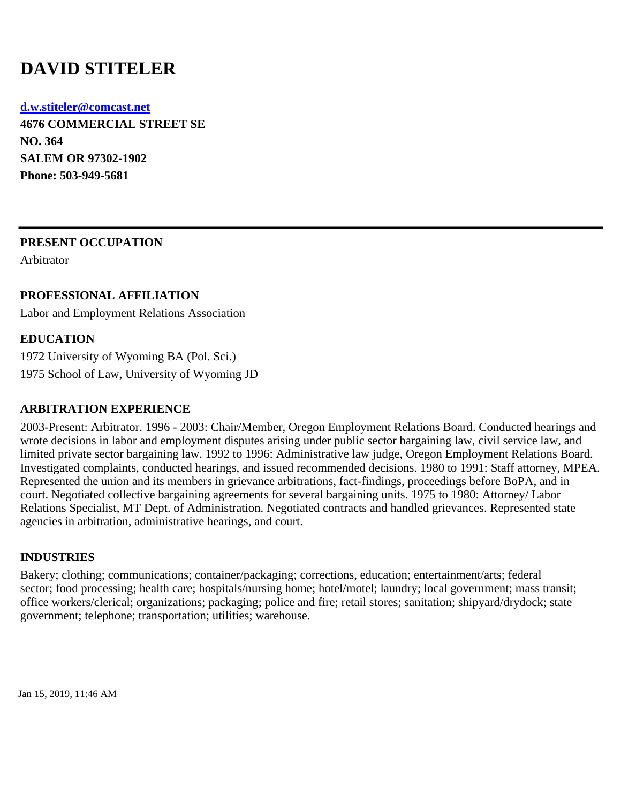# **DAVID STITELER**

**d.w.stiteler@comcast.net 4676 COMMERCIAL STREET SE**

**NO. 364 SALEM OR 97302-1902 Phone: 503-949-5681**

## **PRESENT OCCUPATION**

Arbitrator

## **PROFESSIONAL AFFILIATION**

Labor and Employment Relations Association

## **EDUCATION**

1972 University of Wyoming BA (Pol. Sci.) 1975 School of Law, University of Wyoming JD

## **ARBITRATION EXPERIENCE**

2003-Present: Arbitrator. 1996 - 2003: Chair/Member, Oregon Employment Relations Board. Conducted hearings and wrote decisions in labor and employment disputes arising under public sector bargaining law, civil service law, and limited private sector bargaining law. 1992 to 1996: Administrative law judge, Oregon Employment Relations Board. Investigated complaints, conducted hearings, and issued recommended decisions. 1980 to 1991: Staff attorney, MPEA. Represented the union and its members in grievance arbitrations, fact-findings, proceedings before BoPA, and in court. Negotiated collective bargaining agreements for several bargaining units. 1975 to 1980: Attorney/ Labor Relations Specialist, MT Dept. of Administration. Negotiated contracts and handled grievances. Represented state agencies in arbitration, administrative hearings, and court.

## **INDUSTRIES**

Bakery; clothing; communications; container/packaging; corrections, education; entertainment/arts; federal sector; food processing; health care; hospitals/nursing home; hotel/motel; laundry; local government; mass transit; office workers/clerical; organizations; packaging; police and fire; retail stores; sanitation; shipyard/drydock; state government; telephone; transportation; utilities; warehouse.

Jan 15, 2019, 11:46 AM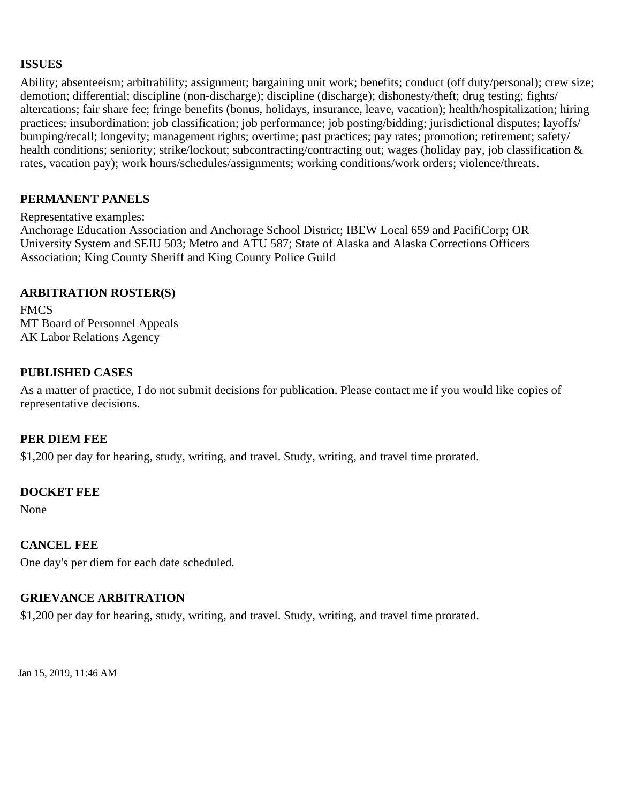## **ISSUES**

Ability; absenteeism; arbitrability; assignment; bargaining unit work; benefits; conduct (off duty/personal); crew size; demotion; differential; discipline (non-discharge); discipline (discharge); dishonesty/theft; drug testing; fights/ altercations; fair share fee; fringe benefits (bonus, holidays, insurance, leave, vacation); health/hospitalization; hiring practices; insubordination; job classification; job performance; job posting/bidding; jurisdictional disputes; layoffs/ bumping/recall; longevity; management rights; overtime; past practices; pay rates; promotion; retirement; safety/ health conditions; seniority; strike/lockout; subcontracting/contracting out; wages (holiday pay, job classification & rates, vacation pay); work hours/schedules/assignments; working conditions/work orders; violence/threats.

#### **PERMANENT PANELS**

#### Representative examples:

Anchorage Education Association and Anchorage School District; IBEW Local 659 and PacifiCorp; OR University System and SEIU 503; Metro and ATU 587; State of Alaska and Alaska Corrections Officers Association; King County Sheriff and King County Police Guild

#### **ARBITRATION ROSTER(S)**

**FMCS** MT Board of Personnel Appeals AK Labor Relations Agency

#### **PUBLISHED CASES**

As a matter of practice, I do not submit decisions for publication. Please contact me if you would like copies of representative decisions.

#### **PER DIEM FEE**

\$1,200 per day for hearing, study, writing, and travel. Study, writing, and travel time prorated.

#### **DOCKET FEE**

None

#### **CANCEL FEE**

One day's per diem for each date scheduled.

#### **GRIEVANCE ARBITRATION**

\$1,200 per day for hearing, study, writing, and travel. Study, writing, and travel time prorated.

Jan 15, 2019, 11:46 AM